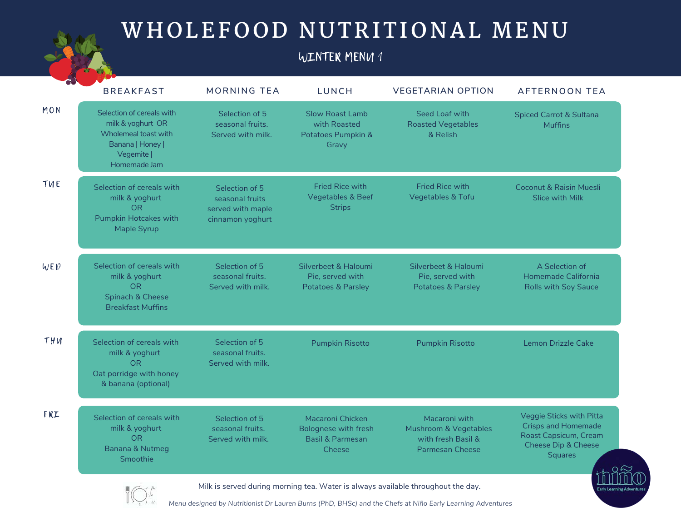### WINTER MENU 1

|     | <b>BREAKFAST</b>                                                                                                          | <b>MORNING TEA</b>                                                         | <b>LUNCH</b>                                                                             | <b>VEGETARIAN OPTION</b>                                                               | <b>AFTERNOON TEA</b>                                                                                                                |
|-----|---------------------------------------------------------------------------------------------------------------------------|----------------------------------------------------------------------------|------------------------------------------------------------------------------------------|----------------------------------------------------------------------------------------|-------------------------------------------------------------------------------------------------------------------------------------|
| MON | Selection of cereals with<br>milk & yoghurt OR<br>Wholemeal toast with<br>Banana   Honey  <br>Vegemite  <br>Homemade Jam  | Selection of 5<br>seasonal fruits.<br>Served with milk.                    | <b>Slow Roast Lamb</b><br>with Roasted<br>Potatoes Pumpkin &<br>Gravy                    | Seed Loaf with<br><b>Roasted Vegetables</b><br>& Relish                                | <b>Spiced Carrot &amp; Sultana</b><br><b>Muffins</b>                                                                                |
| TUE | Selection of cereals with<br>milk & yoghurt<br>O <sub>R</sub><br><b>Pumpkin Hotcakes with</b><br>Maple Syrup              | Selection of 5<br>seasonal fruits<br>served with maple<br>cinnamon yoghurt | <b>Fried Rice with</b><br><b>Vegetables &amp; Beef</b><br><b>Strips</b>                  | <b>Fried Rice with</b><br><b>Vegetables &amp; Tofu</b>                                 | <b>Coconut &amp; Raisin Muesli</b><br>Slice with Milk                                                                               |
| WED | Selection of cereals with<br>milk & yoghurt<br><b>OR</b><br>Spinach & Cheese<br><b>Breakfast Muffins</b>                  | Selection of 5<br>seasonal fruits.<br>Served with milk.                    | Silverbeet & Haloumi<br>Pie, served with<br><b>Potatoes &amp; Parsley</b>                | Silverbeet & Haloumi<br>Pie, served with<br><b>Potatoes &amp; Parsley</b>              | A Selection of<br>Homemade California<br><b>Rolls with Soy Sauce</b>                                                                |
| THU | Selection of cereals with<br>milk & yoghurt<br><b>OR</b><br>Oat porridge with honey<br>& banana (optional)                | Selection of 5<br>seasonal fruits.<br>Served with milk.                    | <b>Pumpkin Risotto</b>                                                                   | <b>Pumpkin Risotto</b>                                                                 | Lemon Drizzle Cake                                                                                                                  |
| FRI | Selection of cereals with<br>milk & yoghurt<br>O <sub>R</sub><br><b>Banana &amp; Nutmeg</b><br>Smoothie                   | Selection of 5<br>seasonal fruits.<br>Served with milk.                    | Macaroni Chicken<br><b>Bolognese with fresh</b><br><b>Basil &amp; Parmesan</b><br>Cheese | Macaroni with<br>Mushroom & Vegetables<br>with fresh Basil &<br><b>Parmesan Cheese</b> | Veggie Sticks with Pitta<br><b>Crisps and Homemade</b><br>Roast Capsicum, Cream<br><b>Cheese Dip &amp; Cheese</b><br><b>Squares</b> |
|     | Milk is served during morning tea. Water is always available throughout the day.<br>$\blacksquare \nearrow \cdots \wedge$ |                                                                            |                                                                                          |                                                                                        |                                                                                                                                     |

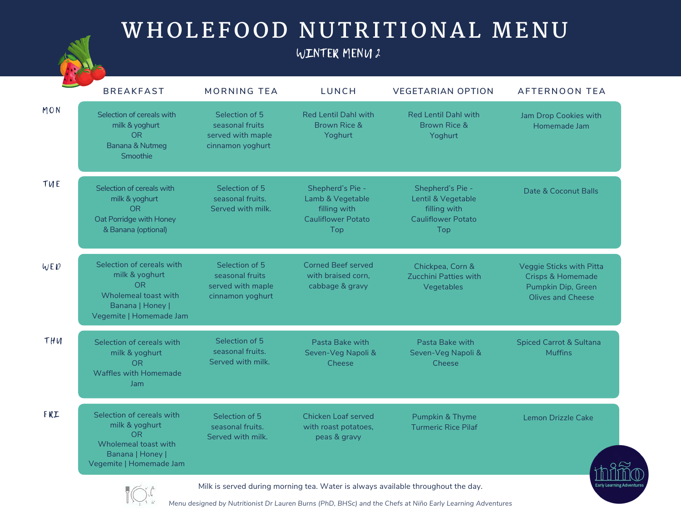#### WINTER MENU 2

|     | <b>BREAKFAST</b>                                                                                                                                                                               | <b>MORNING TEA</b>                                                         | <b>LUNCH</b>                                                                             | <b>VEGETARIAN OPTION</b>                                                                   | <b>AFTERNOON TEA</b>                                                                                |  |
|-----|------------------------------------------------------------------------------------------------------------------------------------------------------------------------------------------------|----------------------------------------------------------------------------|------------------------------------------------------------------------------------------|--------------------------------------------------------------------------------------------|-----------------------------------------------------------------------------------------------------|--|
| MON | Selection of cereals with<br>milk & yoghurt<br><b>OR</b><br>Banana & Nutmeg<br>Smoothie                                                                                                        | Selection of 5<br>seasonal fruits<br>served with maple<br>cinnamon yoghurt | <b>Red Lentil Dahl with</b><br>Brown Rice &<br>Yoghurt                                   | <b>Red Lentil Dahl with</b><br>Brown Rice &<br>Yoghurt                                     | Jam Drop Cookies with<br>Homemade Jam                                                               |  |
| TUE | Selection of cereals with<br>milk & yoghurt<br><b>OR</b><br>Oat Porridge with Honey<br>& Banana (optional)                                                                                     | Selection of 5<br>seasonal fruits.<br>Served with milk.                    | Shepherd's Pie -<br>Lamb & Vegetable<br>filling with<br><b>Cauliflower Potato</b><br>Top | Shepherd's Pie -<br>Lentil & Vegetable<br>filling with<br><b>Cauliflower Potato</b><br>Top | Date & Coconut Balls                                                                                |  |
| WED | Selection of cereals with<br>milk & yoghurt<br><b>OR</b><br>Wholemeal toast with<br>Banana   Honey  <br>Vegemite   Homemade Jam                                                                | Selection of 5<br>seasonal fruits<br>served with maple<br>cinnamon yoghurt | <b>Corned Beef served</b><br>with braised corn.<br>cabbage & gravy                       | Chickpea, Corn &<br>Zucchini Patties with<br>Vegetables                                    | Veggie Sticks with Pitta<br><b>Crisps &amp; Homemade</b><br>Pumpkin Dip, Green<br>Olives and Cheese |  |
| THU | Selection of cereals with<br>milk & yoghurt<br><b>OR</b><br>Waffles with Homemade<br>Jam                                                                                                       | Selection of 5<br>seasonal fruits.<br>Served with milk.                    | Pasta Bake with<br>Seven-Veg Napoli &<br>Cheese                                          | Pasta Bake with<br>Seven-Veg Napoli &<br>Cheese                                            | <b>Spiced Carrot &amp; Sultana</b><br><b>Muffins</b>                                                |  |
| FRI | Selection of cereals with<br>milk & yoghurt<br><b>OR</b><br>Wholemeal toast with<br>Banana   Honey  <br>Vegemite   Homemade Jam                                                                | Selection of 5<br>seasonal fruits.<br>Served with milk.                    | <b>Chicken Loaf served</b><br>with roast potatoes,<br>peas & gravy                       | Pumpkin & Thyme<br><b>Turmeric Rice Pilaf</b>                                              | <b>Lemon Drizzle Cake</b>                                                                           |  |
|     | Milk is served during morning tea. Water is always available throughout the day.<br>Manu designed by Nutritionist Dr. Lauren Burne (BbD, BHCs) and the Chofe at Niñe Early Learning Adventures |                                                                            |                                                                                          |                                                                                            |                                                                                                     |  |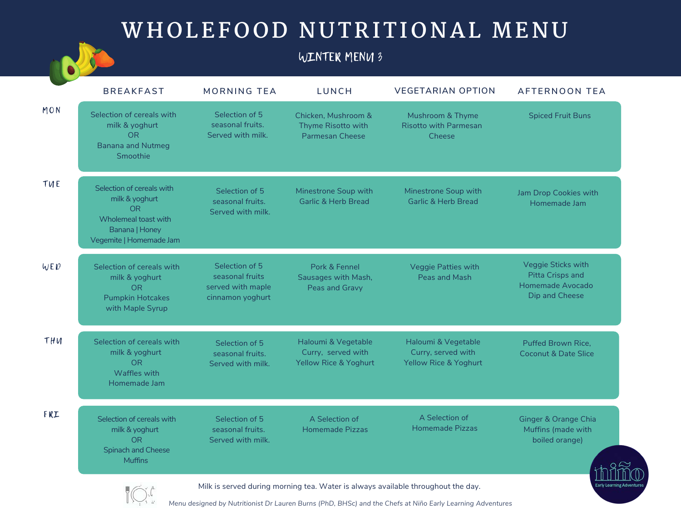### WINTER MENU 3

|     | <b>BREAKFAST</b>                                                                                                              | <b>MORNING TEA</b>                                                         | LUNCH                                                                         | <b>VEGETARIAN OPTION</b>                                           | <b>AFTERNOON TEA</b>                                                         |
|-----|-------------------------------------------------------------------------------------------------------------------------------|----------------------------------------------------------------------------|-------------------------------------------------------------------------------|--------------------------------------------------------------------|------------------------------------------------------------------------------|
| MON | Selection of cereals with<br>milk & yoghurt<br><b>OR</b><br><b>Banana and Nutmeg</b><br>Smoothie                              | Selection of 5<br>seasonal fruits.<br>Served with milk.                    | Chicken, Mushroom &<br>Thyme Risotto with<br><b>Parmesan Cheese</b>           | Mushroom & Thyme<br><b>Risotto with Parmesan</b><br>Cheese         | <b>Spiced Fruit Buns</b>                                                     |
| TUE | Selection of cereals with<br>milk & yoghurt<br><b>OR</b><br>Wholemeal toast with<br>Banana   Honey<br>Vegemite   Homemade Jam | Selection of 5<br>seasonal fruits.<br>Served with milk.                    | Minestrone Soup with<br><b>Garlic &amp; Herb Bread</b>                        | Minestrone Soup with<br><b>Garlic &amp; Herb Bread</b>             | Jam Drop Cookies with<br>Homemade Jam                                        |
| WED | Selection of cereals with<br>milk & yoghurt<br><b>OR</b><br><b>Pumpkin Hotcakes</b><br>with Maple Syrup                       | Selection of 5<br>seasonal fruits<br>served with maple<br>cinnamon yoghurt | Pork & Fennel<br>Sausages with Mash,<br>Peas and Gravy                        | Veggie Patties with<br>Peas and Mash                               | Veggie Sticks with<br>Pitta Crisps and<br>Homemade Avocado<br>Dip and Cheese |
| THU | Selection of cereals with<br>milk & yoghurt<br>O <sub>R</sub><br>Waffles with<br>Homemade Jam                                 | Selection of 5<br>seasonal fruits.<br>Served with milk.                    | Haloumi & Vegetable<br>Curry, served with<br><b>Yellow Rice &amp; Yoghurt</b> | Haloumi & Vegetable<br>Curry, served with<br>Yellow Rice & Yoghurt | <b>Puffed Brown Rice.</b><br><b>Coconut &amp; Date Slice</b>                 |
| FRI | Selection of cereals with<br>milk & yoghurt<br>O <sub>R</sub><br><b>Spinach and Cheese</b><br><b>Muffins</b>                  | Selection of 5<br>seasonal fruits.<br>Served with milk.                    | A Selection of<br><b>Homemade Pizzas</b>                                      | A Selection of<br>Homemade Pizzas                                  | <b>Ginger &amp; Orange Chia</b><br>Muffins (made with<br>boiled orange)      |
|     | Milk is served during morning tea. Water is always available throughout the day.<br>$\blacksquare$ math>                      |                                                                            |                                                                               |                                                                    |                                                                              |